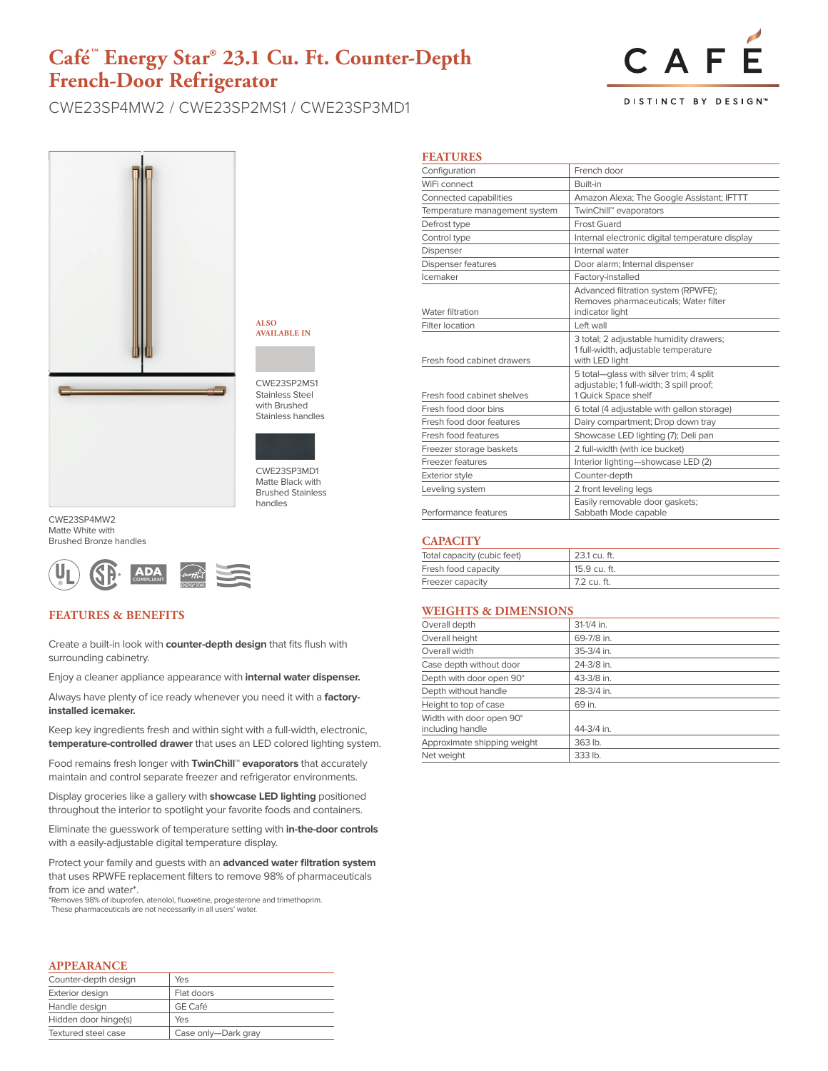## **Café™ Energy Star® 23.1 Cu. Ft. Counter-Depth French-Door Refrigerator**

CWE23SP4MW2 / CWE23SP2MS1 / CWE23SP3MD1

# CAF

**DISTINCT BY DESIGN™** 



**ALSO AVAILABLE IN**

CWE23SP2MS1 Stainless Steel with Brushed Stainless handles



CWE23SP3MD1 Matte Black with Brushed Stainless handles

CWE23SP4MW2 Matte White with Brushed Bronze handles



#### **FEATURES & BENEFITS**

Create a built-in look with **counter-depth design** that fits flush with surrounding cabinetry.

Enjoy a cleaner appliance appearance with **internal water dispenser.** 

Always have plenty of ice ready whenever you need it with a **factoryinstalled icemaker.**

Keep key ingredients fresh and within sight with a full-width, electronic, **temperature-controlled drawer** that uses an LED colored lighting system.

Food remains fresh longer with **TwinChill™ evaporators** that accurately maintain and control separate freezer and refrigerator environments.

Display groceries like a gallery with **showcase LED lighting** positioned throughout the interior to spotlight your favorite foods and containers.

Eliminate the guesswork of temperature setting with **in-the-door controls** with a easily-adjustable digital temperature display.

Protect your family and guests with an **advanced water filtration system** that uses RPWFE replacement filters to remove 98% of pharmaceuticals from ice and water\*.

\*Removes 98% of ibuprofen, atenolol, fluoxetine, progesterone and trimethoprim. These pharmaceuticals are not necessarily in all users' water.

#### **APPEARANCE**

| Counter-depth design | Yes                 |
|----------------------|---------------------|
| Exterior design      | Flat doors          |
| Handle design        | GE Café             |
| Hidden door hinge(s) | Yes                 |
| Textured steel case  | Case only-Dark gray |

| <b>FEATURES</b>               |                                                                                                            |  |
|-------------------------------|------------------------------------------------------------------------------------------------------------|--|
| Configuration                 | French door                                                                                                |  |
| WiFi connect                  | Ruilt-in                                                                                                   |  |
| Connected capabilities        | Amazon Alexa; The Google Assistant; IFTTT                                                                  |  |
| Temperature management system | TwinChill™ evaporators                                                                                     |  |
| Defrost type                  | Frost Guard                                                                                                |  |
| Control type                  | Internal electronic digital temperature display                                                            |  |
| Dispenser                     | Internal water                                                                                             |  |
| <b>Dispenser features</b>     | Door alarm; Internal dispenser                                                                             |  |
| Icemaker                      | Factory-installed                                                                                          |  |
| Water filtration              | Advanced filtration system (RPWFE);<br>Removes pharmaceuticals; Water filter<br>indicator light            |  |
| Filter location               | I eft wall                                                                                                 |  |
| Fresh food cabinet drawers    | 3 total; 2 adjustable humidity drawers;<br>1 full-width, adjustable temperature<br>with LED light          |  |
| Fresh food cabinet shelves    | 5 total-qlass with silver trim; 4 split<br>adjustable; 1 full-width; 3 spill proof;<br>1 Quick Space shelf |  |
| Fresh food door bins          | 6 total (4 adjustable with gallon storage)                                                                 |  |
| Fresh food door features      | Dairy compartment; Drop down tray                                                                          |  |
| Fresh food features           | Showcase LED lighting (7); Deli pan                                                                        |  |
| Freezer storage baskets       | 2 full-width (with ice bucket)                                                                             |  |
| Freezer features              | Interior lighting-showcase LED (2)                                                                         |  |
| <b>Exterior style</b>         | Counter-depth                                                                                              |  |
| Leveling system               | 2 front leveling legs                                                                                      |  |
| Performance features          | Easily removable door gaskets;<br>Sabbath Mode capable                                                     |  |

#### **CAPACITY**

| Total capacity (cubic feet) | 23.1 cu. ft. |
|-----------------------------|--------------|
| Fresh food capacity         | 15.9 cu. ft. |
| Freezer capacity            | 7.2 cu. ft.  |

#### **WEIGHTS & DIMENSIONS**

| Overall depth               | 31-1/4 in. |
|-----------------------------|------------|
| Overall height              | 69-7/8 in. |
| Overall width               | 35-3/4 in. |
| Case depth without door     | 24-3/8 in. |
| Depth with door open 90°    | 43-3/8 in. |
| Depth without handle        | 28-3/4 in. |
| Height to top of case       | 69 in.     |
| Width with door open 90°    |            |
| including handle            | 44-3/4 in. |
| Approximate shipping weight | 363 lb.    |
| Net weight                  | 333 lb.    |
|                             |            |